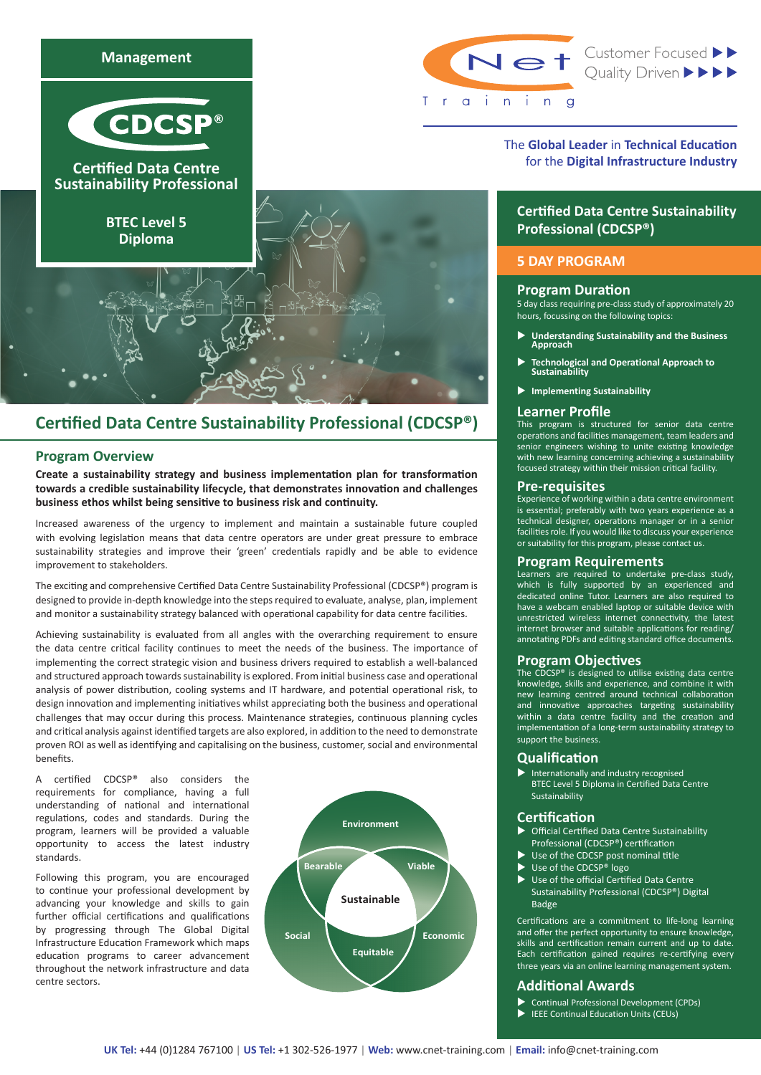

# **Certified Data Centre Sustainability Professional (CDCSP®)**

## **Program Overview**

**Create a sustainability strategy and business implementation plan for transformation towards a credible sustainability lifecycle, that demonstrates innovation and challenges business ethos whilst being sensitive to business risk and continuity.**

Increased awareness of the urgency to implement and maintain a sustainable future coupled with evolving legislation means that data centre operators are under great pressure to embrace sustainability strategies and improve their 'green' credentials rapidly and be able to evidence improvement to stakeholders.

The exciting and comprehensive Certified Data Centre Sustainability Professional (CDCSP®) program is designed to provide in-depth knowledge into the steps required to evaluate, analyse, plan, implement and monitor a sustainability strategy balanced with operational capability for data centre facilities.

Achieving sustainability is evaluated from all angles with the overarching requirement to ensure the data centre critical facility continues to meet the needs of the business. The importance of implementing the correct strategic vision and business drivers required to establish a well-balanced and structured approach towards sustainability is explored. From initial business case and operational analysis of power distribution, cooling systems and IT hardware, and potential operational risk, to design innovation and implementing initiatives whilst appreciating both the business and operational challenges that may occur during this process. Maintenance strategies, continuous planning cycles and critical analysis against identified targets are also explored, in addition to the need to demonstrate proven ROI as well as identifying and capitalising on the business, customer, social and environmental benefits.

A certified CDCSP® also considers the requirements for compliance, having a full understanding of national and international regulations, codes and standards. During the program, learners will be provided a valuable opportunity to access the latest industry standards.

Following this program, you are encouraged to continue your professional development by advancing your knowledge and skills to gain further official certifications and qualifications by progressing through The Global Digital Infrastructure Education Framework which maps education programs to career advancement throughout the network infrastructure and data centre sectors.



Trainin

Net Customer Focused >>

# The **Global Leader** in **Technical Education**  for the **Digital Infrastructure Industry**

# **Certified Data Centre Sustainability Professional (CDCSP®)**

## **5 DAY PROGRAM**

#### **Program Duration**

5 day class requiring pre-class study of approximately 20 hours, focussing on the following topics:

- u **Understanding Sustainability and the Business Approach**
- u **Technological and Operational Approach to Sustainability**
- **Implementing Sustainability**

## **Learner Profile**

This program is structured for senior data centre operations and facilities management, team leaders and senior engineers wishing to unite existing knowledge with new learning concerning achieving a sustainability focused strategy within their mission critical facility.

### **Pre-requisites**

Experience of working within a data centre environment is essential; preferably with two years experience as a technical designer, operations manager or in a senior facilities role. If you would like to discuss your experience or suitability for this program, please contact us.

#### **Program Requirements**

Learners are required to undertake pre-class study, which is fully supported by an experienced and dedicated online Tutor. Learners are also required to have a webcam enabled laptop or suitable device with unrestricted wireless internet connectivity, the latest internet browser and suitable applications for reading/ annotating PDFs and editing standard office documents.

# **Program Objectives**

The CDCSP® is designed to utilise existing data centre knowledge, skills and experience, and combine it with learning centred around technical collaboration and innovative approaches targeting sustainability within a data centre facility and the creation and implementation of a long-term sustainability strategy to support the business.

## **Qualification**

 $\blacktriangleright$  Internationally and industry recognised BTEC Level 5 Diploma in Certified Data Centre Sustainability

# **Certification**

- u Official Certified Data Centre Sustainability Professional (CDCSP®) certification
- $\blacktriangleright$  Use of the CDCSP post nominal title
- Use of the CDCSP® logo
- $\blacktriangleright$  Use of the official Certified Data Centre Sustainability Professional (CDCSP®) Digital **Badge**

Certifications are a commitment to life-long learning and offer the perfect opportunity to ensure knowledge, skills and certification remain current and up to date. Each certification gained requires re-certifying every three years via an online learning management system.

## **Additional Awards**

- u Continual Professional Development (CPDs)
- **IEEE Continual Education Units (CEUs)**